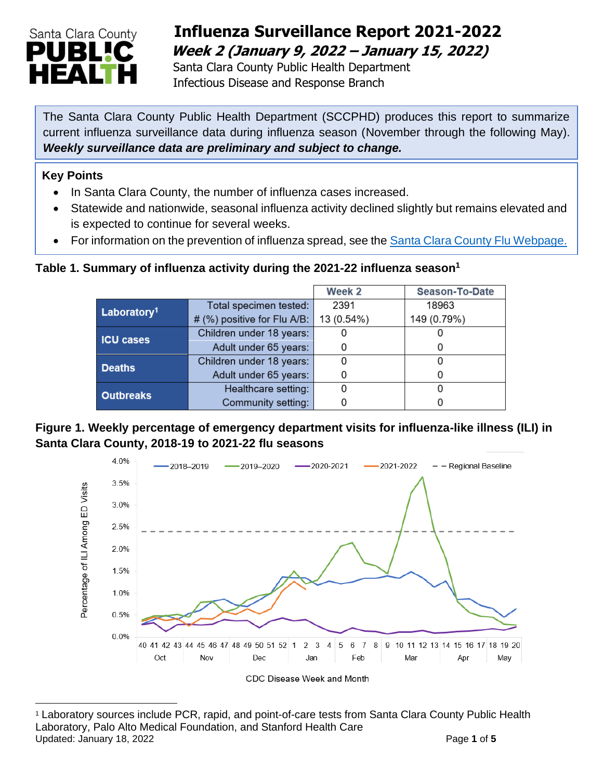

## **Influenza Surveillance Report 2021-2022 Week 2 (January 9, 2022 – January 15, 2022)**

 Santa Clara County Public Health Department Infectious Disease and Response Branch

The Santa Clara County Public Health Department (SCCPHD) produces this report to summarize current influenza surveillance data during influenza season (November through the following May). *Weekly surveillance data are preliminary and subject to change.*

#### **Key Points**

- In Santa Clara County, the number of influenza cases increased.
- Statewide and nationwide, seasonal influenza activity declined slightly but remains elevated and is expected to continue for several weeks.
- For information on the prevention of influenza spread, see the [Santa Clara County Flu Webpage.](https://publichealth.sccgov.org/disease-information/influenza-flu)

#### **Table 1. Summary of influenza activity during the 2021-22 influenza season<sup>1</sup>**

|                         |                             | Week <sub>2</sub> | <b>Season-To-Date</b> |
|-------------------------|-----------------------------|-------------------|-----------------------|
| Laboratory <sup>1</sup> | Total specimen tested:      | 2391              | 18963                 |
|                         | # (%) positive for Flu A/B: | 13 (0.54%)        | 149 (0.79%)           |
| <b>ICU cases</b>        | Children under 18 years:    |                   |                       |
|                         | Adult under 65 years:       |                   | 0                     |
| <b>Deaths</b>           | Children under 18 years:    |                   |                       |
|                         | Adult under 65 years:       |                   |                       |
| <b>Outbreaks</b>        | Healthcare setting:         |                   |                       |
|                         | Community setting:          |                   |                       |

#### **Figure 1. Weekly percentage of emergency department visits for influenza-like illness (ILI) in Santa Clara County, 2018-19 to 2021-22 flu seasons**



<sup>1</sup> Laboratory sources include PCR, rapid, and point-of-care tests from Santa Clara County Public Health Laboratory, Palo Alto Medical Foundation, and Stanford Health Care Updated: January 18, 2022 **Page 1** of 5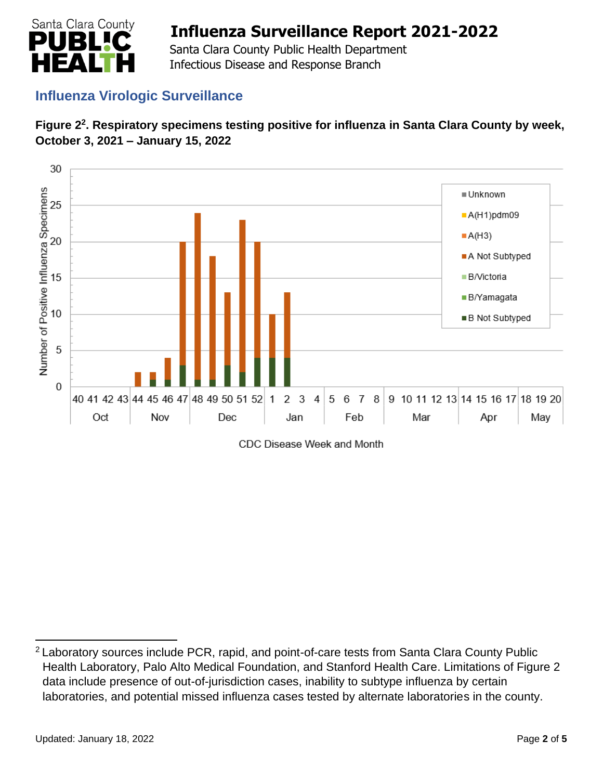

 Santa Clara County Public Health Department Infectious Disease and Response Branch

### **Influenza Virologic Surveillance**





CDC Disease Week and Month

<sup>2</sup> Laboratory sources include PCR, rapid, and point-of-care tests from Santa Clara County Public Health Laboratory, Palo Alto Medical Foundation, and Stanford Health Care. Limitations of Figure 2 data include presence of out-of-jurisdiction cases, inability to subtype influenza by certain laboratories, and potential missed influenza cases tested by alternate laboratories in the county.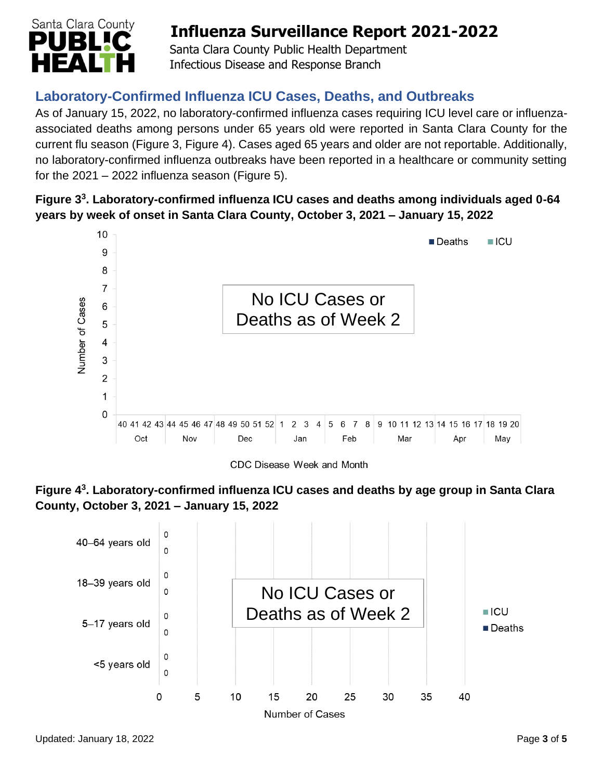

 Santa Clara County Public Health Department Infectious Disease and Response Branch

## **Laboratory-Confirmed Influenza ICU Cases, Deaths, and Outbreaks**

As of January 15, 2022, no laboratory-confirmed influenza cases requiring ICU level care or influenzaassociated deaths among persons under 65 years old were reported in Santa Clara County for the current flu season (Figure 3, Figure 4). Cases aged 65 years and older are not reportable. Additionally, no laboratory-confirmed influenza outbreaks have been reported in a healthcare or community setting for the  $2021 - 2022$  influenza season (Figure 5).

#### **Figure 3 3 . Laboratory-confirmed influenza ICU cases and deaths among individuals aged 0-64 years by week of onset in Santa Clara County, October 3, 2021 – January 15, 2022**



CDC Disease Week and Month



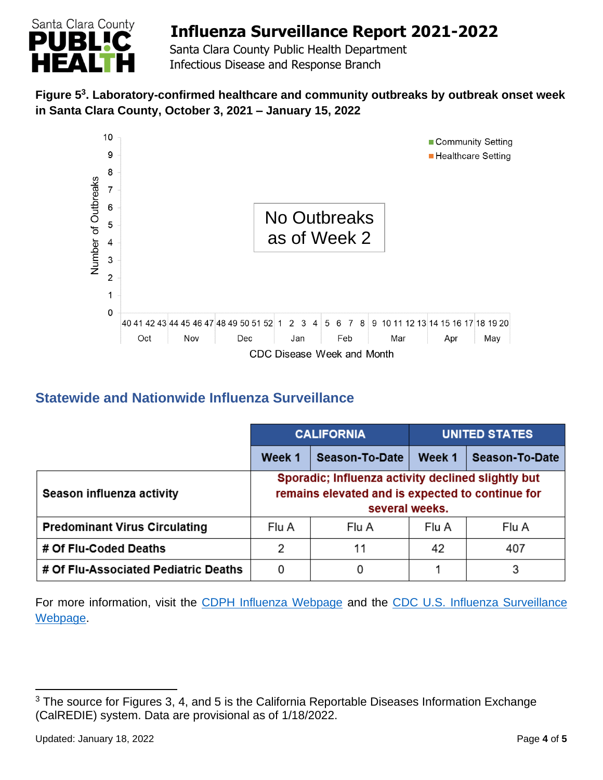

 Santa Clara County Public Health Department Infectious Disease and Response Branch

#### **Figure 5 3 . Laboratory-confirmed healthcare and community outbreaks by outbreak onset week in Santa Clara County, October 3, 2021 – January 15, 2022**



### **Statewide and Nationwide Influenza Surveillance**

|                                      | <b>CALIFORNIA</b> |                                                                                                                          | <b>UNITED STATES</b> |                |
|--------------------------------------|-------------------|--------------------------------------------------------------------------------------------------------------------------|----------------------|----------------|
|                                      | Week 1            | Season-To-Date                                                                                                           | Week 1               | Season-To-Date |
| Season influenza activity            |                   | Sporadic; Influenza activity declined slightly but<br>remains elevated and is expected to continue for<br>several weeks. |                      |                |
| <b>Predominant Virus Circulating</b> | Flu A             | Flu A                                                                                                                    | Flu A                | Flu A          |
| # Of Flu-Coded Deaths                | 2                 | 11                                                                                                                       | 42                   | 407            |
| # Of Flu-Associated Pediatric Deaths | 0                 |                                                                                                                          |                      | 3              |

For more information, visit the [CDPH Influenza Webpage](http://www.cdph.ca.gov/Programs/CID/DCDC/Pages/Immunization/Influenza.aspx) and the CDC U.S. Influenza Surveillance [Webpage.](http://www.cdc.gov/flu/weekly/)

<sup>&</sup>lt;sup>3</sup> The source for Figures 3, 4, and 5 is the California Reportable Diseases Information Exchange (CalREDIE) system. Data are provisional as of 1/18/2022.